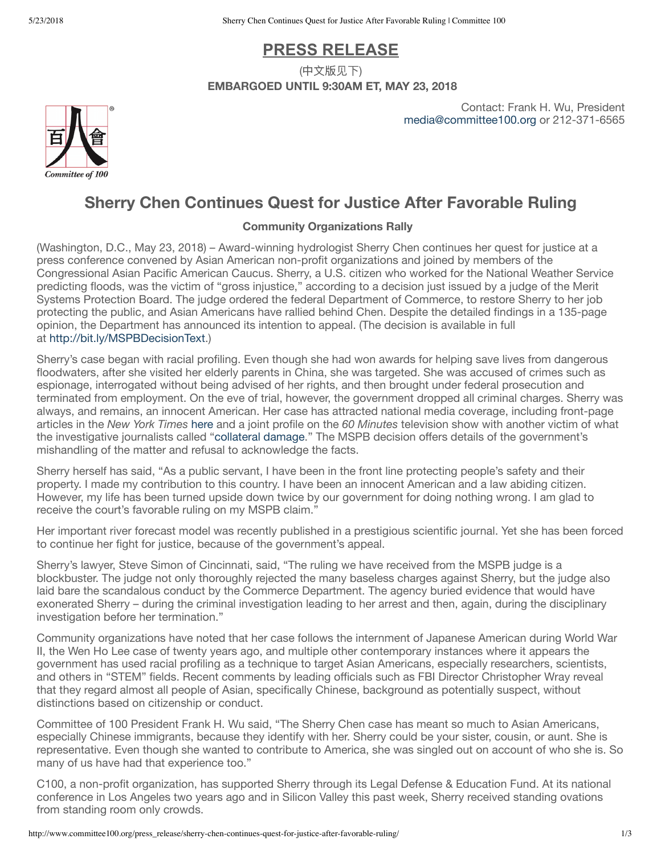# **PRESS RELEASE**

(中文版见下) **EMBARGOED UNTIL 9:30AM ET, MAY 23, 2018**

> Contact: Frank H. Wu, President [media@committee100.org](mailto:media@committee100.org) or 212-371-6565



# **Sherry Chen Continues Quest for Justice After Favorable Ruling**

## **Community Organizations Rally**

(Washington, D.C., May 23, 2018) – Award-winning hydrologist Sherry Chen continues her quest for justice at a press conference convened by Asian American non-profit organizations and joined by members of the Congressional Asian Pacific American Caucus. Sherry, a U.S. citizen who worked for the National Weather Service predicting floods, was the victim of "gross injustice," according to a decision just issued by a judge of the Merit Systems Protection Board. The judge ordered the federal Department of Commerce, to restore Sherry to her job protecting the public, and Asian Americans have rallied behind Chen. Despite the detailed findings in a 135-page opinion, the Department has announced its intention to appeal. (The decision is available in full at <http://bit.ly/MSPBDecisionText>.)

Sherry's case began with racial profiling. Even though she had won awards for helping save lives from dangerous floodwaters, after she visited her elderly parents in China, she was targeted. She was accused of crimes such as espionage, interrogated without being advised of her rights, and then brought under federal prosecution and terminated from employment. On the eve of trial, however, the government dropped all criminal charges. Sherry was always, and remains, an innocent American. Her case has attracted national media coverage, including front-page articles in the *New York Times* [here](https://mobile.nytimes.com/2018/05/17/technology/sherry-chen-national-weather-service.html) and a joint profile on the *60 Minutes* television show with another victim of what the investigative journalists called "[collateral](https://www.cbsnews.com/news/collateral-damage-60-minutes-bill-whitaker/) damage." The MSPB decision offers details of the government's mishandling of the matter and refusal to acknowledge the facts.

Sherry herself has said, "As a public servant, I have been in the front line protecting people's safety and their property. I made my contribution to this country. I have been an innocent American and a law abiding citizen. However, my life has been turned upside down twice by our government for doing nothing wrong. I am glad to receive the court's favorable ruling on my MSPB claim."

Her important river forecast model was recently published in a prestigious scientific journal. Yet she has been forced to continue her fight for justice, because of the government's appeal.

Sherry's lawyer, Steve Simon of Cincinnati, said, "The ruling we have received from the MSPB judge is a blockbuster. The judge not only thoroughly rejected the many baseless charges against Sherry, but the judge also laid bare the scandalous conduct by the Commerce Department. The agency buried evidence that would have exonerated Sherry – during the criminal investigation leading to her arrest and then, again, during the disciplinary investigation before her termination."

Community organizations have noted that her case follows the internment of Japanese American during World War II, the Wen Ho Lee case of twenty years ago, and multiple other contemporary instances where it appears the government has used racial profiling as a technique to target Asian Americans, especially researchers, scientists, and others in "STEM" fields. Recent comments by leading officials such as FBI Director Christopher Wray reveal that they regard almost all people of Asian, specifically Chinese, background as potentially suspect, without distinctions based on citizenship or conduct.

Committee of 100 President Frank H. Wu said, "The Sherry Chen case has meant so much to Asian Americans, especially Chinese immigrants, because they identify with her. Sherry could be your sister, cousin, or aunt. She is representative. Even though she wanted to contribute to America, she was singled out on account of who she is. So many of us have had that experience too."

C100, a non-profit organization, has supported Sherry through its Legal Defense & Education Fund. At its national conference in Los Angeles two years ago and in Silicon Valley this past week, Sherry received standing ovations from standing room only crowds.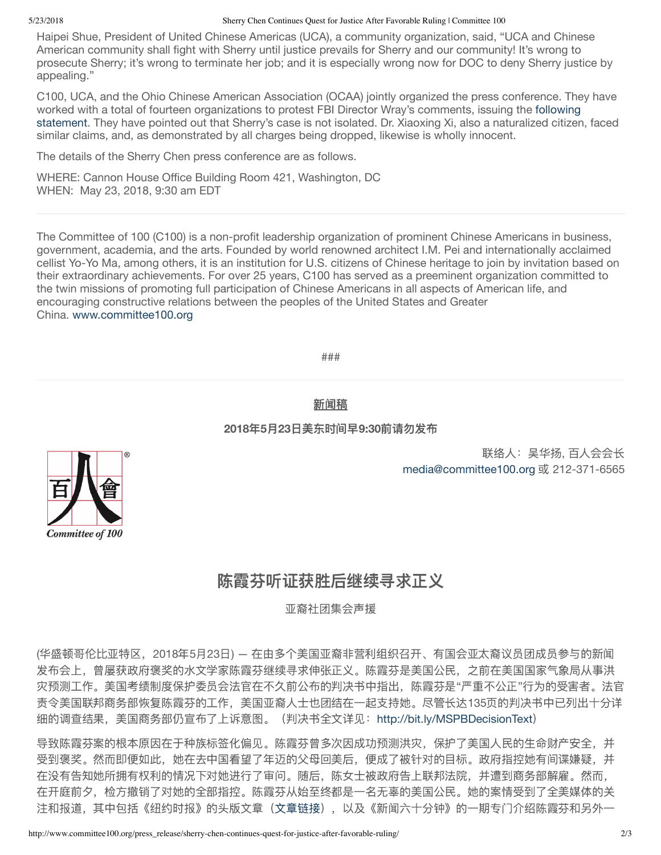### 5/23/2018 Sherry Chen Continues Quest for Justice After Favorable Ruling | Committee 100

Haipei Shue, President of United Chinese Americas (UCA), a community organization, said, "UCA and Chinese American community shall fight with Sherry until justice prevails for Sherry and our community! It's wrong to prosecute Sherry; it's wrong to terminate her job; and it is especially wrong now for DOC to deny Sherry justice by appealing."

C100, UCA, and the Ohio Chinese American Association (OCAA) jointly organized the press conference. They have worked with a total of fourteen organizations to protest FBI Director [Wray's comments,](http://www.committee100.org/press_release/community-organizations-call-for-meeting-with-fbi-director-christopher-wray-regarding-profiling-of-students-scholars-and-scientists-with-chinese-origins/) issuing the following statement. They have pointed out that Sherry's case is not isolated. Dr. Xiaoxing Xi, also a naturalized citizen, faced similar claims, and, as demonstrated by all charges being dropped, likewise is wholly innocent.

The details of the Sherry Chen press conference are as follows.

WHERE: Cannon House Office Building Room 421, Washington, DC WHEN: May 23, 2018, 9:30 am EDT

The Committee of 100 (C100) is a non-profit leadership organization of prominent Chinese Americans in business, government, academia, and the arts. Founded by world renowned architect I.M. Pei and internationally acclaimed cellist Yo-Yo Ma, among others, it is an institution for U.S. citizens of Chinese heritage to join by invitation based on their extraordinary achievements. For over 25 years, C100 has served as a preeminent organization committed to the twin missions of promoting full participation of Chinese Americans in all aspects of American life, and encouraging constructive relations between the peoples of the United States and Greater China. [www.committee100.org](https://committee100.us9.list-manage.com/track/click?u=8164f0f2863a791d891363b95&id=d44c3d6307&e=3d797e54a9)

###

## 新闻稿

### **2018**年**5**月**23**日美东时间早**9:30**前请勿发布

联络人:吴华扬, 百人会会长 [media@committee100.org](mailto:media@committee100.org) 或 212-371-6565



亚裔社团集会声援

(华盛顿哥伦比亚特区,2018年5月23日) — 在由多个美国亚裔非营利组织召开、有国会亚太裔议员团成员参与的新闻 发布会上,曾屡获政府褒奖的水文学家陈霞芬继续寻求伸张正义。陈霞芬是美国公民,之前在美国国家气象局从事洪 灾预测工作。美国考绩制度保护委员会法官在不久前公布的判决书中指出,陈霞芬是"严重不公正"行为的受害者。法官 责令美国联邦商务部恢复陈霞芬的工作,美国亚裔人士也团结在一起支持她。尽管长达135页的判决书中已列出十分详 细的调查结果,美国商务部仍宣布了上诉意图。(判决书全文详见:<http://bit.ly/MSPBDecisionText>)

导致陈霞芬案的根本原因在于种族标签化偏见。陈霞芬曾多次因成功预测洪灾,保护了美国人民的生命财产安全,并 受到褒奖。然而即便如此,她在去中国看望了年迈的父母回美后,便成了被针对的目标。政府指控她有间谍嫌疑,并 在没有告知她所拥有权利的情况下对她进行了审问。随后,陈女士被政府告上联邦法院,并遭到商务部解雇。然而, 在开庭前夕,检方撤销了对她的全部指控。陈霞芬从始至终都是一名无辜的美国公民。她的案情受到了全美媒体的关 注和报道,其中包括《纽约时报》的头版文章([文章链接\)](https://mobile.nytimes.com/2018/05/17/technology/sherry-chen-national-weather-service.html),以及《新闻六十分钟》的一期专门介绍陈霞芬和另外一



**Committee of 100**